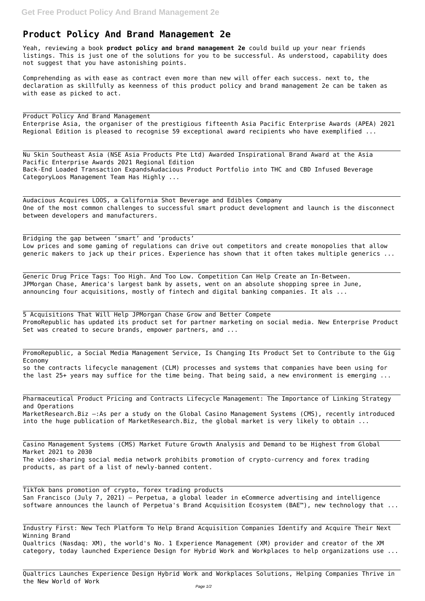## **Product Policy And Brand Management 2e**

Yeah, reviewing a book **product policy and brand management 2e** could build up your near friends listings. This is just one of the solutions for you to be successful. As understood, capability does not suggest that you have astonishing points.

Comprehending as with ease as contract even more than new will offer each success. next to, the declaration as skillfully as keenness of this product policy and brand management 2e can be taken as with ease as picked to act.

Product Policy And Brand Management Enterprise Asia, the organiser of the prestigious fifteenth Asia Pacific Enterprise Awards (APEA) 2021 Regional Edition is pleased to recognise 59 exceptional award recipients who have exemplified ...

Generic Drug Price Tags: Too High. And Too Low. Competition Can Help Create an In-Between. JPMorgan Chase, America's largest bank by assets, went on an absolute shopping spree in June, announcing four acquisitions, mostly of fintech and digital banking companies. It als ...

5 Acquisitions That Will Help JPMorgan Chase Grow and Better Compete PromoRepublic has updated its product set for partner marketing on social media. New Enterprise Product Set was created to secure brands, empower partners, and ...

Nu Skin Southeast Asia (NSE Asia Products Pte Ltd) Awarded Inspirational Brand Award at the Asia Pacific Enterprise Awards 2021 Regional Edition Back-End Loaded Transaction ExpandsAudacious Product Portfolio into THC and CBD Infused Beverage CategoryLoos Management Team Has Highly ...

Audacious Acquires LOOS, a California Shot Beverage and Edibles Company One of the most common challenges to successful smart product development and launch is the disconnect between developers and manufacturers.

Bridging the gap between 'smart' and 'products' Low prices and some gaming of regulations can drive out competitors and create monopolies that allow generic makers to jack up their prices. Experience has shown that it often takes multiple generics ...

PromoRepublic, a Social Media Management Service, Is Changing Its Product Set to Contribute to the Gig Economy so the contracts lifecycle management (CLM) processes and systems that companies have been using for

the last 25+ years may suffice for the time being. That being said, a new environment is emerging ...

Pharmaceutical Product Pricing and Contracts Lifecycle Management: The Importance of Linking Strategy and Operations MarketResearch.Biz –:As per a study on the Global Casino Management Systems (CMS), recently introduced into the huge publication of MarketResearch.Biz, the global market is very likely to obtain ...

Casino Management Systems (CMS) Market Future Growth Analysis and Demand to be Highest from Global Market 2021 to 2030 The video-sharing social media network prohibits promotion of crypto-currency and forex trading products, as part of a list of newly-banned content.

TikTok bans promotion of crypto, forex trading products San Francisco (July 7, 2021) — Perpetua, a global leader in eCommerce advertising and intelligence software announces the launch of Perpetua's Brand Acquisition Ecosystem (BAE™), new technology that ...

Industry First: New Tech Platform To Help Brand Acquisition Companies Identify and Acquire Their Next Winning Brand Qualtrics (Nasdaq: XM), the world's No. 1 Experience Management (XM) provider and creator of the XM category, today launched Experience Design for Hybrid Work and Workplaces to help organizations use ...

Qualtrics Launches Experience Design Hybrid Work and Workplaces Solutions, Helping Companies Thrive in the New World of Work